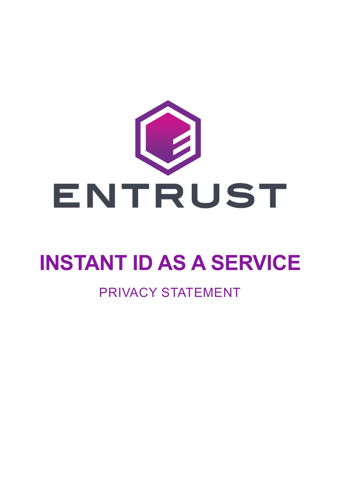

# **INSTANT ID AS A SERVICE**

### PRIVACY STATEMENT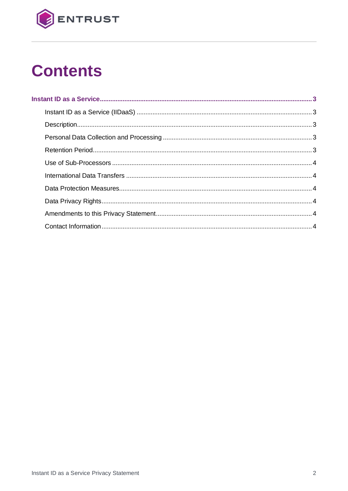

# **Contents**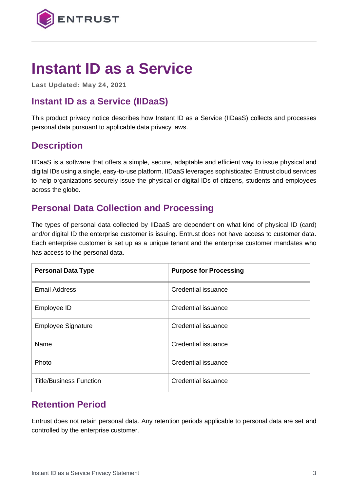

## <span id="page-2-0"></span>**Instant ID as a Service**

**Last Updated: May 24, 2021**

#### <span id="page-2-1"></span>**Instant ID as a Service (IIDaaS)**

This product privacy notice describes how Instant ID as a Service (IIDaaS) collects and processes personal data pursuant to applicable data privacy laws.

#### <span id="page-2-2"></span>**Description**

IIDaaS is a software that offers a simple, secure, adaptable and efficient way to issue physical and digital IDs using a single, easy-to-use platform. IIDaaS leverages sophisticated Entrust cloud services to help organizations securely issue the physical or digital IDs of citizens, students and employees across the globe.

#### <span id="page-2-3"></span>**Personal Data Collection and Processing**

The types of personal data collected by IIDaaS are dependent on what kind of physical ID (card) and/or digital ID the enterprise customer is issuing. Entrust does not have access to customer data. Each enterprise customer is set up as a unique tenant and the enterprise customer mandates who has access to the personal data.

| <b>Personal Data Type</b>      | <b>Purpose for Processing</b> |
|--------------------------------|-------------------------------|
| <b>Email Address</b>           | <b>Credential issuance</b>    |
| Employee ID                    | Credential issuance           |
| <b>Employee Signature</b>      | Credential issuance           |
| Name                           | Credential issuance           |
| Photo                          | Credential issuance           |
| <b>Title/Business Function</b> | <b>Credential issuance</b>    |

#### <span id="page-2-4"></span>**Retention Period**

Entrust does not retain personal data. Any retention periods applicable to personal data are set and controlled by the enterprise customer.